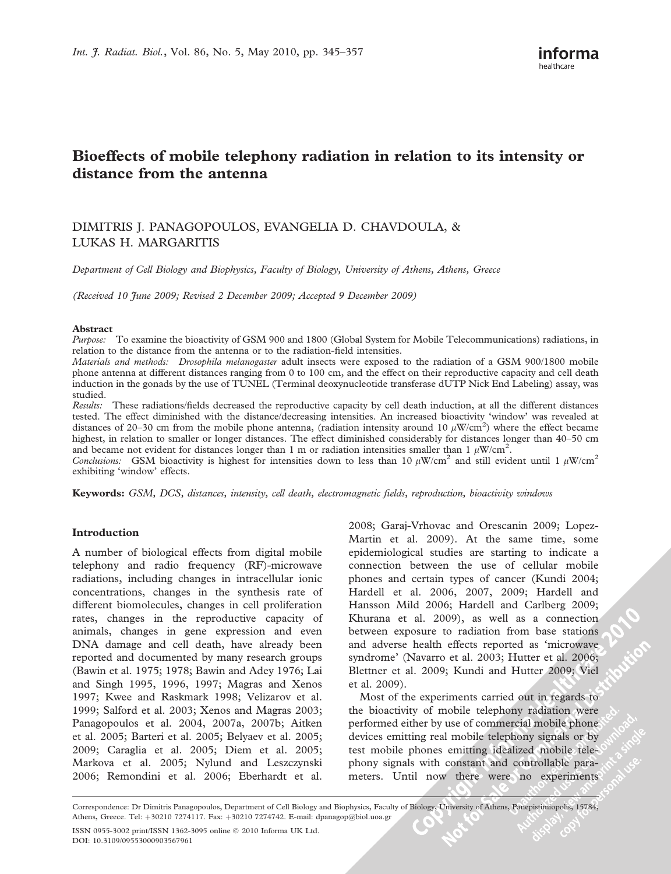# Bioeffects of mobile telephony radiation in relation to its intensity or distance from the antenna

# DIMITRIS J. PANAGOPOULOS, EVANGELIA D. CHAVDOULA, & LUKAS H. MARGARITIS

Department of Cell Biology and Biophysics, Faculty of Biology, University of Athens, Athens, Greece

(Received 10 June 2009; Revised 2 December 2009; Accepted 9 December 2009)

#### Abstract

Purpose: To examine the bioactivity of GSM 900 and 1800 (Global System for Mobile Telecommunications) radiations, in relation to the distance from the antenna or to the radiation-field intensities.

Materials and methods: Drosophila melanogaster adult insects were exposed to the radiation of a GSM 900/1800 mobile phone antenna at different distances ranging from 0 to 100 cm, and the effect on their reproductive capacity and cell death induction in the gonads by the use of TUNEL (Terminal deoxynucleotide transferase dUTP Nick End Labeling) assay, was studied.

Results: These radiations/fields decreased the reproductive capacity by cell death induction, at all the different distances tested. The effect diminished with the distance/decreasing intensities. An increased bioactivity 'window' was revealed at distances of 20–30 cm from the mobile phone antenna, (radiation intensity around 10  $\mu$ W/cm<sup>2</sup>) where the effect became highest, in relation to smaller or longer distances. The effect diminished considerably for distances longer than 40–50 cm and became not evident for distances longer than 1 m or radiation intensities smaller than 1  $\mu$ W/cm<sup>2</sup>.

Conclusions: GSM bioactivity is highest for intensities down to less than 10  $\mu$ W/cm<sup>2</sup> and still evident until 1  $\mu$ W/cm<sup>2</sup> exhibiting 'window' effects.

Keywords: GSM, DCS, distances, intensity, cell death, electromagnetic fields, reproduction, bioactivity windows

#### Introduction

A number of biological effects from digital mobile telephony and radio frequency (RF)-microwave radiations, including changes in intracellular ionic concentrations, changes in the synthesis rate of different biomolecules, changes in cell proliferation rates, changes in the reproductive capacity of animals, changes in gene expression and even DNA damage and cell death, have already been reported and documented by many research groups (Bawin et al. 1975; 1978; Bawin and Adey 1976; Lai and Singh 1995, 1996, 1997; Magras and Xenos 1997; Kwee and Raskmark 1998; Velizarov et al. 1999; Salford et al. 2003; Xenos and Magras 2003; Panagopoulos et al. 2004, 2007a, 2007b; Aitken et al. 2005; Barteri et al. 2005; Belyaev et al. 2005; 2009; Caraglia et al. 2005; Diem et al. 2005; Markova et al. 2005; Nylund and Leszczynski 2006; Remondini et al. 2006; Eberhardt et al.

2008; Garaj-Vrhovac and Orescanin 2009; Lopez-Martin et al. 2009). At the same time, some epidemiological studies are starting to indicate a connection between the use of cellular mobile phones and certain types of cancer (Kundi 2004; Hardell et al. 2006, 2007, 2009; Hardell and Hansson Mild 2006; Hardell and Carlberg 2009; Khurana et al. 2009), as well as a connection between exposure to radiation from base stations and adverse health effects reported as 'microwave syndrome' (Navarro et al. 2003; Hutter et al. 2006; Blettner et al. 2009; Kundi and Hutter 2009; Viel et al. 2009).

Most of the experiments carried out in regards to the bioactivity of mobile telephony radiation were performed either by use of commercial mobile phone devices emitting real mobile telephony signals or by test mobile phones emitting idealized mobile telephony signals with constant and controllable parameters. Until now there were no experiments

Correspondence: Dr Dimitris Panagopoulos, Department of Cell Biology and Biophysics, Faculty of Biology, University of Athens, Panepistimiopolis, 15784, Athens, Greece. Tel: +30210 7274117. Fax: +30210 7274742. E-mail: dpanagop@biol.uoa.gr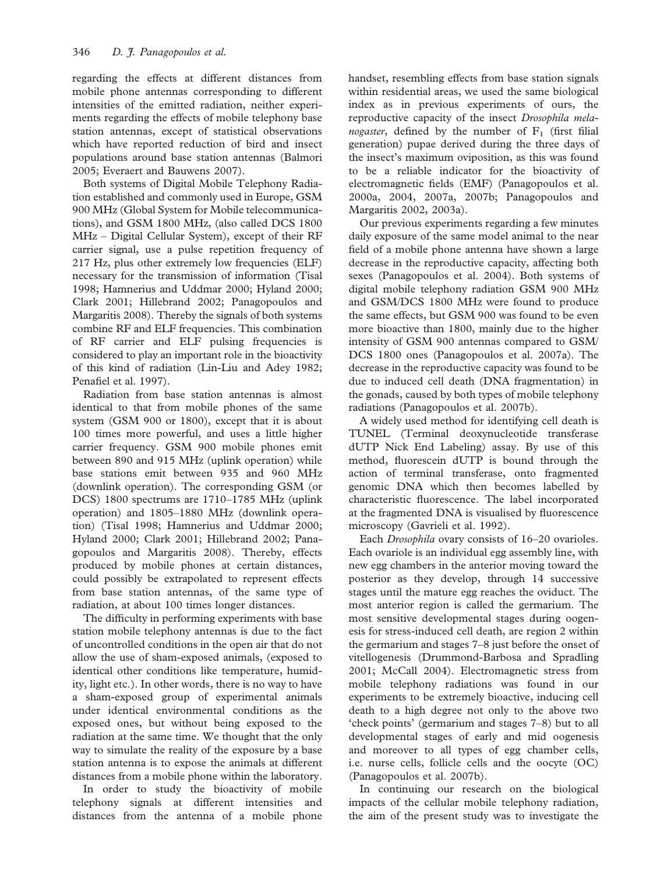regarding the effects at different distances from mobile phone antennas corresponding to different intensities of the emitted radiation, neither experiments regarding the effects of mobile telephony base station antennas, except of statistical observations which have reported reduction of bird and insect populations around base station antennas (Balmori 2005; Everaert and Bauwens 2007).

Both systems of Digital Mobile Telephony Radiation established and commonly used in Europe, GSM 900 MHz (Global System for Mobile telecommunications), and GSM 1800 MHz, (also called DCS 1800 MHz – Digital Cellular System), except of their RF carrier signal, use a pulse repetition frequency of 217 Hz, plus other extremely low frequencies (ELF) necessary for the transmission of information (Tisal 1998; Hamnerius and Uddmar 2000; Hyland 2000; Clark 2001; Hillebrand 2002; Panagopoulos and Margaritis 2008). Thereby the signals of both systems combine RF and ELF frequencies. This combination of RF carrier and ELF pulsing frequencies is considered to play an important role in the bioactivity of this kind of radiation (Lin-Liu and Adey 1982; Penafiel et al. 1997).

Radiation from base station antennas is almost identical to that from mobile phones of the same system (GSM 900 or 1800), except that it is about 100 times more powerful, and uses a little higher carrier frequency. GSM 900 mobile phones emit between 890 and 915 MHz (uplink operation) while base stations emit between 935 and 960 MHz (downlink operation). The corresponding GSM (or DCS) 1800 spectrums are 1710–1785 MHz (uplink operation) and 1805–1880 MHz (downlink operation) (Tisal 1998; Hamnerius and Uddmar 2000; Hyland 2000; Clark 2001; Hillebrand 2002; Panagopoulos and Margaritis 2008). Thereby, effects produced by mobile phones at certain distances, could possibly be extrapolated to represent effects from base station antennas, of the same type of radiation, at about 100 times longer distances.

The difficulty in performing experiments with base station mobile telephony antennas is due to the fact of uncontrolled conditions in the open air that do not allow the use of sham-exposed animals, (exposed to identical other conditions like temperature, humidity, light etc.). In other words, there is no way to have a sham-exposed group of experimental animals under identical environmental conditions as the exposed ones, but without being exposed to the radiation at the same time. We thought that the only way to simulate the reality of the exposure by a base station antenna is to expose the animals at different distances from a mobile phone within the laboratory.

In order to study the bioactivity of mobile telephony signals at different intensities and distances from the antenna of a mobile phone handset, resembling effects from base station signals within residential areas, we used the same biological index as in previous experiments of ours, the reproductive capacity of the insect Drosophila melanogaster, defined by the number of  $F_1$  (first filial generation) pupae derived during the three days of the insect's maximum oviposition, as this was found to be a reliable indicator for the bioactivity of electromagnetic fields (EMF) (Panagopoulos et al. 2000a, 2004, 2007a, 2007b; Panagopoulos and Margaritis 2002, 2003a).

Our previous experiments regarding a few minutes daily exposure of the same model animal to the near field of a mobile phone antenna have shown a large decrease in the reproductive capacity, affecting both sexes (Panagopoulos et al. 2004). Both systems of digital mobile telephony radiation GSM 900 MHz and GSM/DCS 1800 MHz were found to produce the same effects, but GSM 900 was found to be even more bioactive than 1800, mainly due to the higher intensity of GSM 900 antennas compared to GSM/ DCS 1800 ones (Panagopoulos et al. 2007a). The decrease in the reproductive capacity was found to be due to induced cell death (DNA fragmentation) in the gonads, caused by both types of mobile telephony radiations (Panagopoulos et al. 2007b).

A widely used method for identifying cell death is TUNEL (Terminal deoxynucleotide transferase dUTP Nick End Labeling) assay. By use of this method, fluorescein dUTP is bound through the action of terminal transferase, onto fragmented genomic DNA which then becomes labelled by characteristic fluorescence. The label incorporated at the fragmented DNA is visualised by fluorescence microscopy (Gavrieli et al. 1992).

Each Drosophila ovary consists of 16–20 ovarioles. Each ovariole is an individual egg assembly line, with new egg chambers in the anterior moving toward the posterior as they develop, through 14 successive stages until the mature egg reaches the oviduct. The most anterior region is called the germarium. The most sensitive developmental stages during oogenesis for stress-induced cell death, are region 2 within the germarium and stages 7–8 just before the onset of vitellogenesis (Drummond-Barbosa and Spradling 2001; McCall 2004). Electromagnetic stress from mobile telephony radiations was found in our experiments to be extremely bioactive, inducing cell death to a high degree not only to the above two 'check points' (germarium and stages 7–8) but to all developmental stages of early and mid oogenesis and moreover to all types of egg chamber cells, i.e. nurse cells, follicle cells and the oocyte (OC) (Panagopoulos et al. 2007b).

In continuing our research on the biological impacts of the cellular mobile telephony radiation, the aim of the present study was to investigate the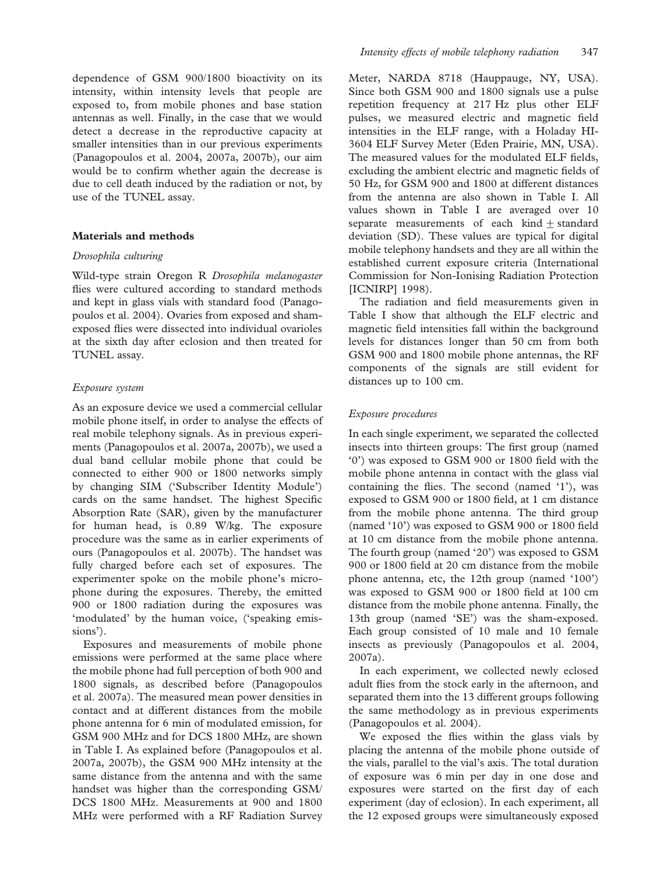dependence of GSM 900/1800 bioactivity on its intensity, within intensity levels that people are exposed to, from mobile phones and base station antennas as well. Finally, in the case that we would detect a decrease in the reproductive capacity at smaller intensities than in our previous experiments (Panagopoulos et al. 2004, 2007a, 2007b), our aim would be to confirm whether again the decrease is due to cell death induced by the radiation or not, by use of the TUNEL assay.

#### Materials and methods

#### Drosophila culturing

Wild-type strain Oregon R Drosophila melanogaster flies were cultured according to standard methods and kept in glass vials with standard food (Panagopoulos et al. 2004). Ovaries from exposed and shamexposed flies were dissected into individual ovarioles at the sixth day after eclosion and then treated for TUNEL assay.

### Exposure system

As an exposure device we used a commercial cellular mobile phone itself, in order to analyse the effects of real mobile telephony signals. As in previous experiments (Panagopoulos et al. 2007a, 2007b), we used a dual band cellular mobile phone that could be connected to either 900 or 1800 networks simply by changing SIM ('Subscriber Identity Module') cards on the same handset. The highest Specific Absorption Rate (SAR), given by the manufacturer for human head, is 0.89 W/kg. The exposure procedure was the same as in earlier experiments of ours (Panagopoulos et al. 2007b). The handset was fully charged before each set of exposures. The experimenter spoke on the mobile phone's microphone during the exposures. Thereby, the emitted 900 or 1800 radiation during the exposures was 'modulated' by the human voice, ('speaking emissions').

Exposures and measurements of mobile phone emissions were performed at the same place where the mobile phone had full perception of both 900 and 1800 signals, as described before (Panagopoulos et al. 2007a). The measured mean power densities in contact and at different distances from the mobile phone antenna for 6 min of modulated emission, for GSM 900 MHz and for DCS 1800 MHz, are shown in Table I. As explained before (Panagopoulos et al. 2007a, 2007b), the GSM 900 MHz intensity at the same distance from the antenna and with the same handset was higher than the corresponding GSM/ DCS 1800 MHz. Measurements at 900 and 1800 MHz were performed with a RF Radiation Survey Meter, NARDA 8718 (Hauppauge, NY, USA). Since both GSM 900 and 1800 signals use a pulse repetition frequency at 217 Hz plus other ELF pulses, we measured electric and magnetic field intensities in the ELF range, with a Holaday HI-3604 ELF Survey Meter (Eden Prairie, MN, USA). The measured values for the modulated ELF fields, excluding the ambient electric and magnetic fields of 50 Hz, for GSM 900 and 1800 at different distances from the antenna are also shown in Table I. All values shown in Table I are averaged over 10 separate measurements of each kind  $\pm$  standard deviation (SD). These values are typical for digital mobile telephony handsets and they are all within the established current exposure criteria (International Commission for Non-Ionising Radiation Protection [ICNIRP] 1998).

The radiation and field measurements given in Table I show that although the ELF electric and magnetic field intensities fall within the background levels for distances longer than 50 cm from both GSM 900 and 1800 mobile phone antennas, the RF components of the signals are still evident for distances up to 100 cm.

#### Exposure procedures

In each single experiment, we separated the collected insects into thirteen groups: The first group (named '0') was exposed to GSM 900 or 1800 field with the mobile phone antenna in contact with the glass vial containing the flies. The second (named '1'), was exposed to GSM 900 or 1800 field, at 1 cm distance from the mobile phone antenna. The third group (named '10') was exposed to GSM 900 or 1800 field at 10 cm distance from the mobile phone antenna. The fourth group (named '20') was exposed to GSM 900 or 1800 field at 20 cm distance from the mobile phone antenna, etc, the 12th group (named '100') was exposed to GSM 900 or 1800 field at 100 cm distance from the mobile phone antenna. Finally, the 13th group (named 'SE') was the sham-exposed. Each group consisted of 10 male and 10 female insects as previously (Panagopoulos et al. 2004, 2007a).

In each experiment, we collected newly eclosed adult flies from the stock early in the afternoon, and separated them into the 13 different groups following the same methodology as in previous experiments (Panagopoulos et al. 2004).

We exposed the flies within the glass vials by placing the antenna of the mobile phone outside of the vials, parallel to the vial's axis. The total duration of exposure was 6 min per day in one dose and exposures were started on the first day of each experiment (day of eclosion). In each experiment, all the 12 exposed groups were simultaneously exposed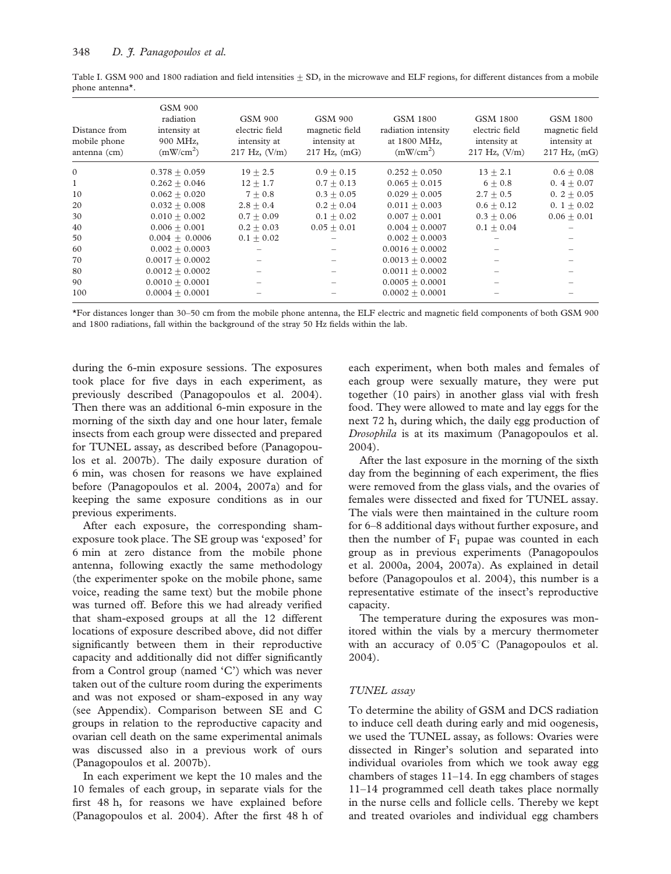|                              |  | Table I. GSM 900 and 1800 radiation and field intensities $\pm$ SD, in the microwave and ELF regions, for different distances from a mobile |  |  |  |
|------------------------------|--|---------------------------------------------------------------------------------------------------------------------------------------------|--|--|--|
| phone antenna <sup>*</sup> . |  |                                                                                                                                             |  |  |  |

| Distance from<br>mobile phone<br>antenna (cm) | <b>GSM 900</b><br>radiation<br>intensity at<br>900 MHz,<br>(mW/cm <sup>2</sup> ) | GSM 900<br>electric field<br>intensity at<br>$217$ Hz, $(V/m)$ | GSM 900<br>magnetic field<br>intensity at<br>$217 \text{ Hz}$ , (mG) | GSM 1800<br>radiation intensity<br>at 1800 MHz,<br>(mW/cm <sup>2</sup> ) | GSM 1800<br>electric field<br>intensity at<br>$217$ Hz, $(V/m)$ | GSM 1800<br>magnetic field<br>intensity at<br>$217$ Hz, $(mG)$ |
|-----------------------------------------------|----------------------------------------------------------------------------------|----------------------------------------------------------------|----------------------------------------------------------------------|--------------------------------------------------------------------------|-----------------------------------------------------------------|----------------------------------------------------------------|
| $\mathbf{0}$                                  | $0.378 + 0.059$                                                                  | $19 + 2.5$                                                     | $0.9 + 0.15$                                                         | $0.252 + 0.050$                                                          | $13 + 2.1$                                                      | $0.6 \pm 0.08$                                                 |
| 1                                             | $0.262 + 0.046$                                                                  | $12 + 1.7$                                                     | $0.7 + 0.13$                                                         | $0.065 + 0.015$                                                          | $6 + 0.8$                                                       | $0.4 + 0.07$                                                   |
| 10                                            | $0.062 + 0.020$                                                                  | $7 + 0.8$                                                      | $0.3 + 0.05$                                                         | $0.029 + 0.005$                                                          | $2.7 + 0.5$                                                     | $0.2 + 0.05$                                                   |
| 20                                            | $0.032 \pm 0.008$                                                                | $2.8 + 0.4$                                                    | $0.2 \pm 0.04$                                                       | $0.011 \pm 0.003$                                                        | $0.6 + 0.12$                                                    | 0. $1 \pm 0.02$                                                |
| 30                                            | $0.010 + 0.002$                                                                  | $0.7 + 0.09$                                                   | $0.1 + 0.02$                                                         | $0.007 + 0.001$                                                          | $0.3 + 0.06$                                                    | $0.06 + 0.01$                                                  |
| 40                                            | $0.006 + 0.001$                                                                  | $0.2 + 0.03$                                                   | $0.05 + 0.01$                                                        | $0.004 + 0.0007$                                                         | $0.1 + 0.04$                                                    |                                                                |
| 50                                            | $0.004 + 0.0006$                                                                 | $0.1 + 0.02$                                                   |                                                                      | $0.002 + 0.0003$                                                         |                                                                 |                                                                |
| 60                                            | $0.002 + 0.0003$                                                                 |                                                                |                                                                      | $0.0016 + 0.0002$                                                        |                                                                 |                                                                |
| 70                                            | $0.0017 + 0.0002$                                                                |                                                                |                                                                      | $0.0013 + 0.0002$                                                        |                                                                 |                                                                |
| 80                                            | $0.0012 + 0.0002$                                                                |                                                                |                                                                      | $0.0011 + 0.0002$                                                        |                                                                 |                                                                |
| 90                                            | $0.0010 \pm 0.0001$                                                              |                                                                |                                                                      | $0.0005 + 0.0001$                                                        |                                                                 |                                                                |
| 100                                           | $0.0004 + 0.0001$                                                                |                                                                |                                                                      | $0.0002 + 0.0001$                                                        |                                                                 |                                                                |

\*For distances longer than 30–50 cm from the mobile phone antenna, the ELF electric and magnetic field components of both GSM 900 and 1800 radiations, fall within the background of the stray 50 Hz fields within the lab.

during the 6-min exposure sessions. The exposures took place for five days in each experiment, as previously described (Panagopoulos et al. 2004). Then there was an additional 6-min exposure in the morning of the sixth day and one hour later, female insects from each group were dissected and prepared for TUNEL assay, as described before (Panagopoulos et al. 2007b). The daily exposure duration of 6 min, was chosen for reasons we have explained before (Panagopoulos et al. 2004, 2007a) and for keeping the same exposure conditions as in our previous experiments.

After each exposure, the corresponding shamexposure took place. The SE group was 'exposed' for 6 min at zero distance from the mobile phone antenna, following exactly the same methodology (the experimenter spoke on the mobile phone, same voice, reading the same text) but the mobile phone was turned off. Before this we had already verified that sham-exposed groups at all the 12 different locations of exposure described above, did not differ significantly between them in their reproductive capacity and additionally did not differ significantly from a Control group (named 'C') which was never taken out of the culture room during the experiments and was not exposed or sham-exposed in any way (see Appendix). Comparison between SE and C groups in relation to the reproductive capacity and ovarian cell death on the same experimental animals was discussed also in a previous work of ours (Panagopoulos et al. 2007b).

In each experiment we kept the 10 males and the 10 females of each group, in separate vials for the first 48 h, for reasons we have explained before (Panagopoulos et al. 2004). After the first 48 h of each experiment, when both males and females of each group were sexually mature, they were put together (10 pairs) in another glass vial with fresh food. They were allowed to mate and lay eggs for the next 72 h, during which, the daily egg production of Drosophila is at its maximum (Panagopoulos et al. 2004).

After the last exposure in the morning of the sixth day from the beginning of each experiment, the flies were removed from the glass vials, and the ovaries of females were dissected and fixed for TUNEL assay. The vials were then maintained in the culture room for 6–8 additional days without further exposure, and then the number of  $F_1$  pupae was counted in each group as in previous experiments (Panagopoulos et al. 2000a, 2004, 2007a). As explained in detail before (Panagopoulos et al. 2004), this number is a representative estimate of the insect's reproductive capacity.

The temperature during the exposures was monitored within the vials by a mercury thermometer with an accuracy of  $0.05^{\circ}$ C (Panagopoulos et al. 2004).

#### TUNEL assay

To determine the ability of GSM and DCS radiation to induce cell death during early and mid oogenesis, we used the TUNEL assay, as follows: Ovaries were dissected in Ringer's solution and separated into individual ovarioles from which we took away egg chambers of stages 11–14. In egg chambers of stages 11–14 programmed cell death takes place normally in the nurse cells and follicle cells. Thereby we kept and treated ovarioles and individual egg chambers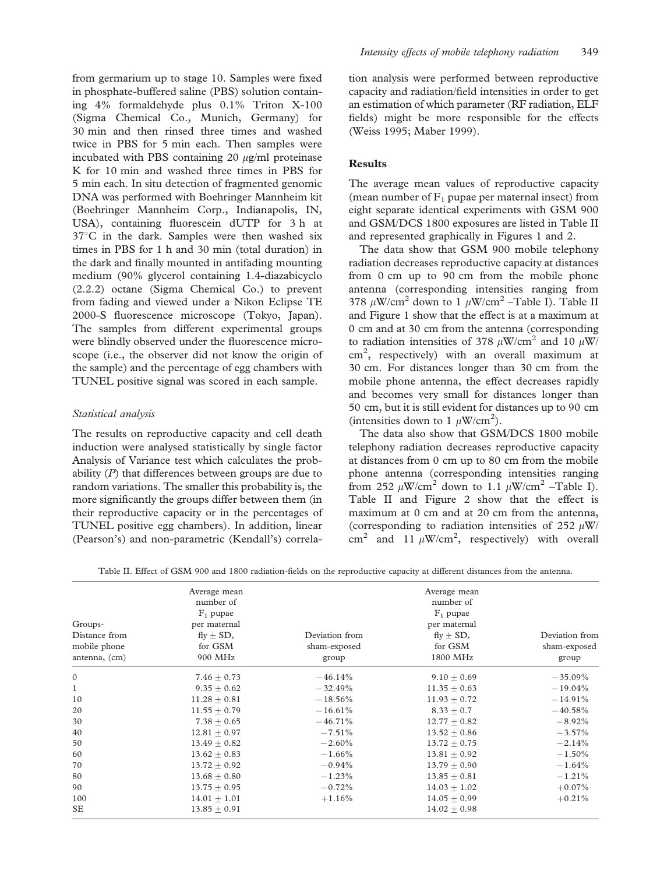from germarium up to stage 10. Samples were fixed in phosphate-buffered saline (PBS) solution containing 4% formaldehyde plus 0.1% Triton X-100 (Sigma Chemical Co., Munich, Germany) for 30 min and then rinsed three times and washed twice in PBS for 5 min each. Then samples were incubated with PBS containing  $20 \mu g/ml$  proteinase K for 10 min and washed three times in PBS for 5 min each. In situ detection of fragmented genomic DNA was performed with Boehringer Mannheim kit (Boehringer Mannheim Corp., Indianapolis, IN, USA), containing fluorescein dUTP for 3 h at  $37^{\circ}$ C in the dark. Samples were then washed six times in PBS for 1 h and 30 min (total duration) in the dark and finally mounted in antifading mounting medium (90% glycerol containing 1.4-diazabicyclo (2.2.2) octane (Sigma Chemical Co.) to prevent from fading and viewed under a Nikon Eclipse TE 2000-S fluorescence microscope (Tokyo, Japan). The samples from different experimental groups were blindly observed under the fluorescence microscope (i.e., the observer did not know the origin of the sample) and the percentage of egg chambers with TUNEL positive signal was scored in each sample.

## Statistical analysis

The results on reproductive capacity and cell death induction were analysed statistically by single factor Analysis of Variance test which calculates the probability (P) that differences between groups are due to random variations. The smaller this probability is, the more significantly the groups differ between them (in their reproductive capacity or in the percentages of TUNEL positive egg chambers). In addition, linear (Pearson's) and non-parametric (Kendall's) correlation analysis were performed between reproductive capacity and radiation/field intensities in order to get an estimation of which parameter (RF radiation, ELF fields) might be more responsible for the effects (Weiss 1995; Maber 1999).

## Results

The average mean values of reproductive capacity (mean number of  $F_1$  pupae per maternal insect) from eight separate identical experiments with GSM 900 and GSM/DCS 1800 exposures are listed in Table II and represented graphically in Figures 1 and 2.

The data show that GSM 900 mobile telephony radiation decreases reproductive capacity at distances from 0 cm up to 90 cm from the mobile phone antenna (corresponding intensities ranging from 378  $\mu$ W/cm<sup>2</sup> down to 1  $\mu$ W/cm<sup>2</sup> –Table I). Table II and Figure 1 show that the effect is at a maximum at 0 cm and at 30 cm from the antenna (corresponding to radiation intensities of 378  $\mu$ W/cm<sup>2</sup> and 10  $\mu$ W/ cm<sup>2</sup> , respectively) with an overall maximum at 30 cm. For distances longer than 30 cm from the mobile phone antenna, the effect decreases rapidly and becomes very small for distances longer than 50 cm, but it is still evident for distances up to 90 cm (intensities down to 1  $\mu$ W/cm<sup>2</sup>).

The data also show that GSM/DCS 1800 mobile telephony radiation decreases reproductive capacity at distances from 0 cm up to 80 cm from the mobile phone antenna (corresponding intensities ranging from 252  $\mu$ W/cm<sup>2</sup> down to 1.1  $\mu$ W/cm<sup>2</sup> –Table I). Table II and Figure 2 show that the effect is maximum at 0 cm and at 20 cm from the antenna, (corresponding to radiation intensities of 252  $\mu$ W/ cm<sup>2</sup> and 11  $\mu$ W/cm<sup>2</sup>, respectively) with overall

|               | Average mean     |                | Average mean     |                |  |
|---------------|------------------|----------------|------------------|----------------|--|
|               | number of        |                | number of        |                |  |
|               | $F_1$ pupae      |                | $F_1$ pupae      |                |  |
| Groups-       | per maternal     |                | per maternal     |                |  |
| Distance from | $fly \pm SD$ ,   | Deviation from | $fly \pm SD,$    | Deviation from |  |
| mobile phone  | for GSM          | sham-exposed   | for GSM          | sham-exposed   |  |
| antenna, (cm) | 900 MHz          | group          | 1800 MHz         | group          |  |
| $\mathbf{0}$  | $7.46 \pm 0.73$  | $-46.14\%$     | $9.10 \pm 0.69$  | $-35.09\%$     |  |
| $\mathbf{1}$  | $9.35 + 0.62$    | $-32.49%$      | $11.35 + 0.63$   | $-19.04%$      |  |
| 10            | $11.28 + 0.81$   | $-18.56\%$     | $11.93 + 0.72$   | $-14.91%$      |  |
| 20            | $11.55 + 0.79$   | $-16.61%$      | $8.33 + 0.7$     | $-40.58%$      |  |
| 30            | $7.38 + 0.65$    | $-46.71%$      | $12.77 + 0.82$   | $-8.92%$       |  |
| 40            | $12.81 + 0.97$   | $-7.51\%$      | $13.52 \pm 0.86$ | $-3.57\%$      |  |
| 50            | $13.49 + 0.82$   | $-2.60\%$      | $13.72 + 0.75$   | $-2.14%$       |  |
| 60            | $13.62 + 0.83$   | $-1.66\%$      | $13.81 \pm 0.92$ | $-1.50\%$      |  |
| 70            | $13.72 + 0.92$   | $-0.94%$       | $13.79 + 0.90$   | $-1.64%$       |  |
| 80            | $13.68 + 0.80$   | $-1.23%$       | $13.85 + 0.81$   | $-1.21%$       |  |
| 90            | $13.75 \pm 0.95$ | $-0.72%$       | $14.03 \pm 1.02$ | $+0.07%$       |  |
| 100           | $14.01 \pm 1.01$ | $+1.16%$       | $14.05 + 0.99$   | $+0.21%$       |  |
| <b>SE</b>     | $13.85 + 0.91$   |                | $14.02 \pm 0.98$ |                |  |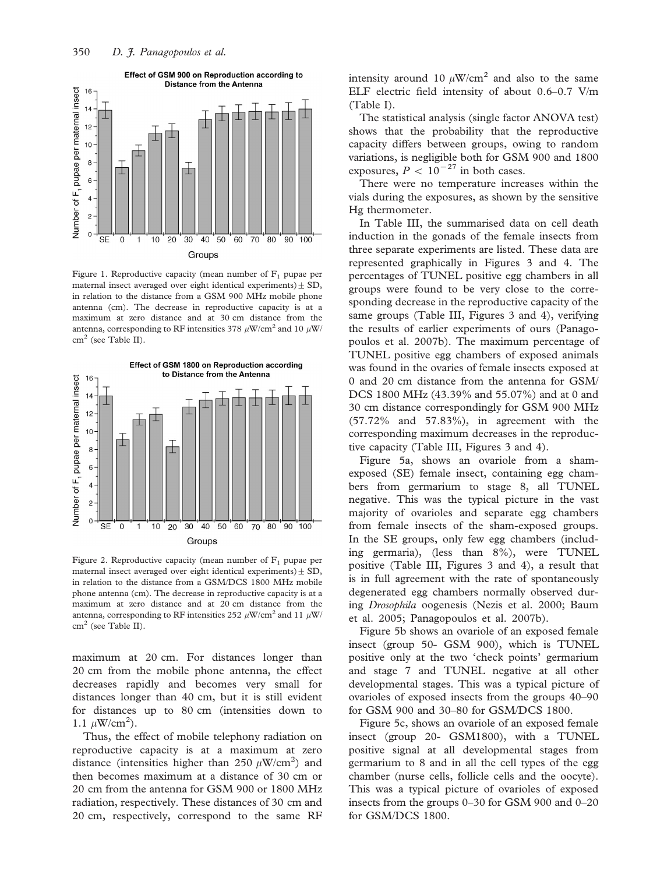

Figure 1. Reproductive capacity (mean number of  $F_1$  pupae per maternal insect averaged over eight identical experiments)  $\pm$  SD, in relation to the distance from a GSM 900 MHz mobile phone antenna (cm). The decrease in reproductive capacity is at a maximum at zero distance and at 30 cm distance from the antenna, corresponding to RF intensities 378  $\mu$ W/cm<sup>2</sup> and 10  $\mu$ W/  $cm<sup>2</sup>$  (see Table II).



Figure 2. Reproductive capacity (mean number of  $F_1$  pupae per maternal insect averaged over eight identical experiments)  $\pm$  SD, in relation to the distance from a GSM/DCS 1800 MHz mobile phone antenna (cm). The decrease in reproductive capacity is at a maximum at zero distance and at 20 cm distance from the antenna, corresponding to RF intensities 252  $\mu$ W/cm<sup>2</sup> and 11  $\mu$ W/ cm<sup>2</sup> (see Table II).

maximum at 20 cm. For distances longer than 20 cm from the mobile phone antenna, the effect decreases rapidly and becomes very small for distances longer than 40 cm, but it is still evident for distances up to 80 cm (intensities down to 1.1  $\mu$ W/cm<sup>2</sup>).

Thus, the effect of mobile telephony radiation on reproductive capacity is at a maximum at zero distance (intensities higher than 250  $\mu$ W/cm<sup>2</sup>) and then becomes maximum at a distance of 30 cm or 20 cm from the antenna for GSM 900 or 1800 MHz radiation, respectively. These distances of 30 cm and 20 cm, respectively, correspond to the same RF

intensity around 10  $\mu$ W/cm<sup>2</sup> and also to the same ELF electric field intensity of about 0.6–0.7 V/m (Table I).

The statistical analysis (single factor ANOVA test) shows that the probability that the reproductive capacity differs between groups, owing to random variations, is negligible both for GSM 900 and 1800 exposures,  $P < 10^{-27}$  in both cases.

There were no temperature increases within the vials during the exposures, as shown by the sensitive Hg thermometer.

In Table III, the summarised data on cell death induction in the gonads of the female insects from three separate experiments are listed. These data are represented graphically in Figures 3 and 4. The percentages of TUNEL positive egg chambers in all groups were found to be very close to the corresponding decrease in the reproductive capacity of the same groups (Table III, Figures 3 and 4), verifying the results of earlier experiments of ours (Panagopoulos et al. 2007b). The maximum percentage of TUNEL positive egg chambers of exposed animals was found in the ovaries of female insects exposed at 0 and 20 cm distance from the antenna for GSM/ DCS 1800 MHz (43.39% and 55.07%) and at 0 and 30 cm distance correspondingly for GSM 900 MHz (57.72% and 57.83%), in agreement with the corresponding maximum decreases in the reproductive capacity (Table III, Figures 3 and 4).

Figure 5a, shows an ovariole from a shamexposed (SE) female insect, containing egg chambers from germarium to stage 8, all TUNEL negative. This was the typical picture in the vast majority of ovarioles and separate egg chambers from female insects of the sham-exposed groups. In the SE groups, only few egg chambers (including germaria), (less than 8%), were TUNEL positive (Table III, Figures 3 and 4), a result that is in full agreement with the rate of spontaneously degenerated egg chambers normally observed during Drosophila oogenesis (Nezis et al. 2000; Baum et al. 2005; Panagopoulos et al. 2007b).

Figure 5b shows an ovariole of an exposed female insect (group 50- GSM 900), which is TUNEL positive only at the two 'check points' germarium and stage 7 and TUNEL negative at all other developmental stages. This was a typical picture of ovarioles of exposed insects from the groups 40–90 for GSM 900 and 30–80 for GSM/DCS 1800.

Figure 5c, shows an ovariole of an exposed female insect (group 20- GSM1800), with a TUNEL positive signal at all developmental stages from germarium to 8 and in all the cell types of the egg chamber (nurse cells, follicle cells and the oocyte). This was a typical picture of ovarioles of exposed insects from the groups 0–30 for GSM 900 and 0–20 for GSM/DCS 1800.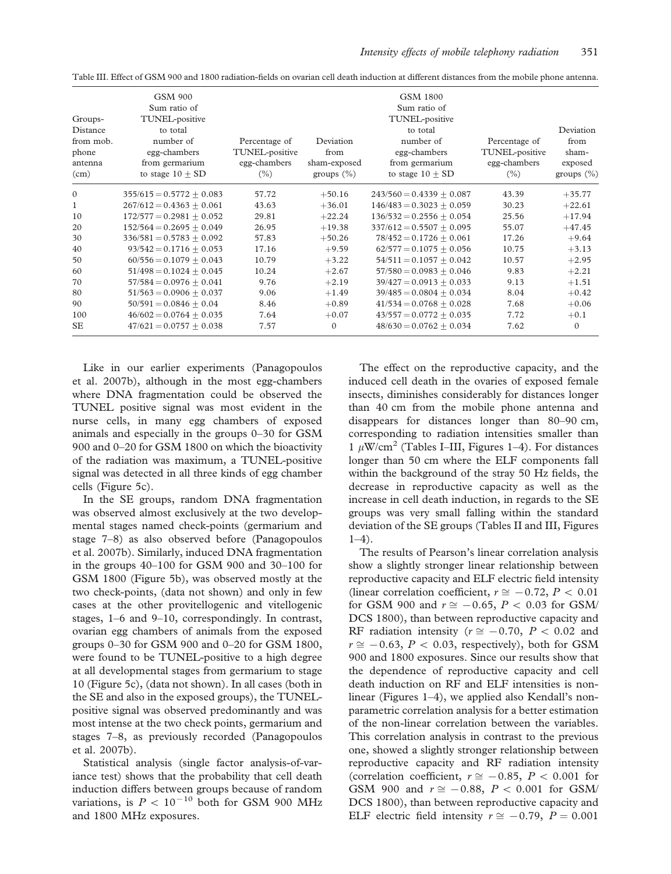|              | <b>GSM 900</b>              |                |               | <b>GSM 1800</b>             |                |               |
|--------------|-----------------------------|----------------|---------------|-----------------------------|----------------|---------------|
|              | Sum ratio of                |                |               | Sum ratio of                |                |               |
| Groups-      | TUNEL-positive              |                |               | TUNEL-positive              |                |               |
| Distance     | to total                    |                |               | to total                    |                | Deviation     |
| from mob.    | number of                   | Percentage of  | Deviation     | number of                   | Percentage of  | from          |
| phone        | egg-chambers                | TUNEL-positive | from          | egg-chambers                | TUNEL-positive | sham-         |
| antenna      | from germarium              | egg-chambers   | sham-exposed  | from germarium              | egg-chambers   | exposed       |
| (cm)         | to stage $10 + SD$          | $(\% )$        | groups $(\%)$ | to stage $10 \pm SD$        | $(\% )$        | groups $(\%)$ |
| $\Omega$     | $355/615 = 0.5772 + 0.083$  | 57.72          | $+50.16$      | $243/560 = 0.4339 + 0.087$  | 43.39          | $+35.77$      |
| $\mathbf{1}$ | $267/612 = 0.4363 + 0.061$  | 43.63          | $+36.01$      | $146/483 = 0.3023 + 0.059$  | 30.23          | $+22.61$      |
| 10           | $172/577 = 0.2981 + 0.052$  | 29.81          | $+22.24$      | $136/532 = 0.2556 + 0.054$  | 25.56          | $+17.94$      |
| 20           | $152/564 = 0.2695 + 0.049$  | 26.95          | $+19.38$      | $337/612 = 0.5507 + 0.095$  | 55.07          | $+47.45$      |
| 30           | $336/581 = 0.5783 + 0.092$  | 57.83          | $+50.26$      | $78/452 = 0.1726 + 0.061$   | 17.26          | $+9.64$       |
| 40           | $93/542 = 0.1716 + 0.053$   | 17.16          | $+9.59$       | $62/577 = 0.1075 + 0.056$   | 10.75          | $+3.13$       |
| 50           | $60/556 = 0.1079 + 0.043$   | 10.79          | $+3.22$       | $54/511 = 0.1057 + 0.042$   | 10.57          | $+2.95$       |
| 60           | $51/498 = 0.1024 + 0.045$   | 10.24          | $+2.67$       | $57/580 = 0.0983 + 0.046$   | 9.83           | $+2.21$       |
| 70           | $57/584 = 0.0976 + 0.041$   | 9.76           | $+2.19$       | $39/427 = 0.0913 \pm 0.033$ | 9.13           | $+1.51$       |
| 80           | $51/563 = 0.0906 + 0.037$   | 9.06           | $+1.49$       | $39/485 = 0.0804 + 0.034$   | 8.04           | $+0.42$       |
| 90           | $50/591 = 0.0846 + 0.04$    | 8.46           | $+0.89$       | $41/534 = 0.0768 + 0.028$   | 7.68           | $+0.06$       |
| 100          | $46/602 = 0.0764 \pm 0.035$ | 7.64           | $+0.07$       | $43/557 = 0.0772 \pm 0.035$ | 7.72           | $+0.1$        |
| <b>SE</b>    | $47/621 = 0.0757 + 0.038$   | 7.57           | $\mathbf{0}$  | $48/630 = 0.0762 + 0.034$   | 7.62           | $\mathbf{0}$  |

Table III. Effect of GSM 900 and 1800 radiation-fields on ovarian cell death induction at different distances from the mobile phone antenna.

Like in our earlier experiments (Panagopoulos et al. 2007b), although in the most egg-chambers where DNA fragmentation could be observed the TUNEL positive signal was most evident in the nurse cells, in many egg chambers of exposed animals and especially in the groups 0–30 for GSM 900 and 0–20 for GSM 1800 on which the bioactivity of the radiation was maximum, a TUNEL-positive signal was detected in all three kinds of egg chamber cells (Figure 5c).

In the SE groups, random DNA fragmentation was observed almost exclusively at the two developmental stages named check-points (germarium and stage 7–8) as also observed before (Panagopoulos et al. 2007b). Similarly, induced DNA fragmentation in the groups 40–100 for GSM 900 and 30–100 for GSM 1800 (Figure 5b), was observed mostly at the two check-points, (data not shown) and only in few cases at the other provitellogenic and vitellogenic stages, 1–6 and 9–10, correspondingly. In contrast, ovarian egg chambers of animals from the exposed groups 0–30 for GSM 900 and 0–20 for GSM 1800, were found to be TUNEL-positive to a high degree at all developmental stages from germarium to stage 10 (Figure 5c), (data not shown). In all cases (both in the SE and also in the exposed groups), the TUNELpositive signal was observed predominantly and was most intense at the two check points, germarium and stages 7–8, as previously recorded (Panagopoulos et al. 2007b).

Statistical analysis (single factor analysis-of-variance test) shows that the probability that cell death induction differs between groups because of random variations, is  $P < 10^{-10}$  both for GSM 900 MHz and 1800 MHz exposures.

The effect on the reproductive capacity, and the induced cell death in the ovaries of exposed female insects, diminishes considerably for distances longer than 40 cm from the mobile phone antenna and disappears for distances longer than 80–90 cm, corresponding to radiation intensities smaller than 1  $\mu$ W/cm<sup>2</sup> (Tables I–III, Figures 1–4). For distances longer than 50 cm where the ELF components fall within the background of the stray 50 Hz fields, the decrease in reproductive capacity as well as the increase in cell death induction, in regards to the SE groups was very small falling within the standard deviation of the SE groups (Tables II and III, Figures 1–4).

The results of Pearson's linear correlation analysis show a slightly stronger linear relationship between reproductive capacity and ELF electric field intensity (linear correlation coefficient,  $r \approx -0.72$ ,  $P < 0.01$ for GSM 900 and  $r \approx -0.65$ ,  $P < 0.03$  for GSM/ DCS 1800), than between reproductive capacity and RF radiation intensity ( $r \approx -0.70$ ,  $P < 0.02$  and  $r \approx -0.63$ ,  $P < 0.03$ , respectively), both for GSM 900 and 1800 exposures. Since our results show that the dependence of reproductive capacity and cell death induction on RF and ELF intensities is nonlinear (Figures 1–4), we applied also Kendall's nonparametric correlation analysis for a better estimation of the non-linear correlation between the variables. This correlation analysis in contrast to the previous one, showed a slightly stronger relationship between reproductive capacity and RF radiation intensity (correlation coefficient,  $r \approx -0.85$ ,  $P < 0.001$  for GSM 900 and  $r \approx -0.88$ ,  $P < 0.001$  for GSM/ DCS 1800), than between reproductive capacity and ELF electric field intensity  $r \approx -0.79$ ,  $P = 0.001$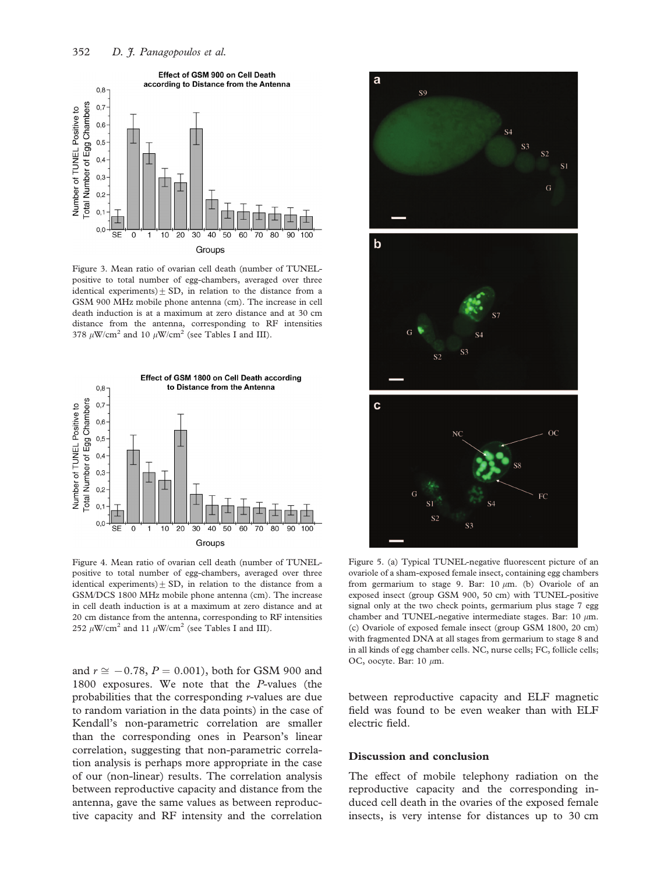

Figure 3. Mean ratio of ovarian cell death (number of TUNELpositive to total number of egg-chambers, averaged over three identical experiments) $\pm$  SD, in relation to the distance from a GSM 900 MHz mobile phone antenna (cm). The increase in cell death induction is at a maximum at zero distance and at 30 cm distance from the antenna, corresponding to RF intensities 378  $\mu$ W/cm<sup>2</sup> and 10  $\mu$ W/cm<sup>2</sup> (see Tables I and III).



Figure 4. Mean ratio of ovarian cell death (number of TUNELpositive to total number of egg-chambers, averaged over three identical experiments) $\pm$  SD, in relation to the distance from a GSM/DCS 1800 MHz mobile phone antenna (cm). The increase in cell death induction is at a maximum at zero distance and at 20 cm distance from the antenna, corresponding to RF intensities 252  $\mu$ W/cm<sup>2</sup> and 11  $\mu$ W/cm<sup>2</sup> (see Tables I and III).

and  $r \approx -0.78$ ,  $P = 0.001$ ), both for GSM 900 and 1800 exposures. We note that the P-values (the probabilities that the corresponding r-values are due to random variation in the data points) in the case of Kendall's non-parametric correlation are smaller than the corresponding ones in Pearson's linear correlation, suggesting that non-parametric correlation analysis is perhaps more appropriate in the case of our (non-linear) results. The correlation analysis between reproductive capacity and distance from the antenna, gave the same values as between reproductive capacity and RF intensity and the correlation



Figure 5. (a) Typical TUNEL-negative fluorescent picture of an ovariole of a sham-exposed female insect, containing egg chambers from germarium to stage 9. Bar: 10  $\mu$ m. (b) Ovariole of an exposed insect (group GSM 900, 50 cm) with TUNEL-positive signal only at the two check points, germarium plus stage 7 egg chamber and TUNEL-negative intermediate stages. Bar: 10  $\mu$ m. (c) Ovariole of exposed female insect (group GSM 1800, 20 cm) with fragmented DNA at all stages from germarium to stage 8 and in all kinds of egg chamber cells. NC, nurse cells; FC, follicle cells; OC, oocyte. Bar:  $10 \mu m$ .

between reproductive capacity and ELF magnetic field was found to be even weaker than with ELF electric field.

#### Discussion and conclusion

The effect of mobile telephony radiation on the reproductive capacity and the corresponding induced cell death in the ovaries of the exposed female insects, is very intense for distances up to 30 cm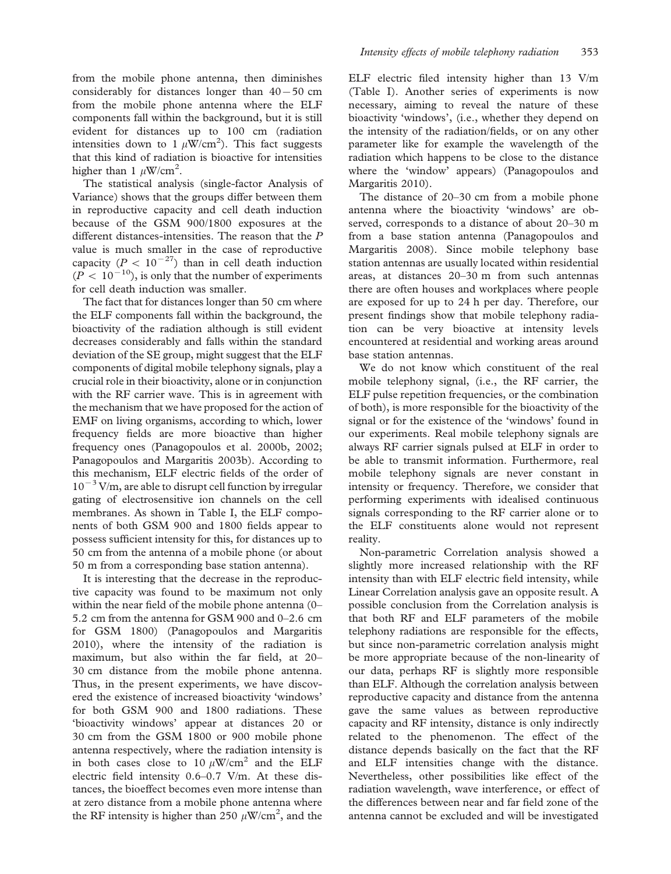from the mobile phone antenna, then diminishes considerably for distances longer than  $40-50$  cm from the mobile phone antenna where the ELF components fall within the background, but it is still evident for distances up to 100 cm (radiation intensities down to 1  $\mu$ W/cm<sup>2</sup>). This fact suggests that this kind of radiation is bioactive for intensities higher than 1  $\mu$ W/cm<sup>2</sup>.

The statistical analysis (single-factor Analysis of Variance) shows that the groups differ between them in reproductive capacity and cell death induction because of the GSM 900/1800 exposures at the different distances-intensities. The reason that the P value is much smaller in the case of reproductive capacity ( $P < 10^{-27}$ ) than in cell death induction  $(P < 10^{-10})$ , is only that the number of experiments for cell death induction was smaller.

The fact that for distances longer than 50 cm where the ELF components fall within the background, the bioactivity of the radiation although is still evident decreases considerably and falls within the standard deviation of the SE group, might suggest that the ELF components of digital mobile telephony signals, play a crucial role in their bioactivity, alone or in conjunction with the RF carrier wave. This is in agreement with the mechanism that we have proposed for the action of EMF on living organisms, according to which, lower frequency fields are more bioactive than higher frequency ones (Panagopoulos et al. 2000b, 2002; Panagopoulos and Margaritis 2003b). According to this mechanism, ELF electric fields of the order of  $10^{-3}$  V/m, are able to disrupt cell function by irregular gating of electrosensitive ion channels on the cell membranes. As shown in Table I, the ELF components of both GSM 900 and 1800 fields appear to possess sufficient intensity for this, for distances up to 50 cm from the antenna of a mobile phone (or about 50 m from a corresponding base station antenna).

It is interesting that the decrease in the reproductive capacity was found to be maximum not only within the near field of the mobile phone antenna (0– 5.2 cm from the antenna for GSM 900 and 0–2.6 cm for GSM 1800) (Panagopoulos and Margaritis 2010), where the intensity of the radiation is maximum, but also within the far field, at 20– 30 cm distance from the mobile phone antenna. Thus, in the present experiments, we have discovered the existence of increased bioactivity 'windows' for both GSM 900 and 1800 radiations. These 'bioactivity windows' appear at distances 20 or 30 cm from the GSM 1800 or 900 mobile phone antenna respectively, where the radiation intensity is in both cases close to 10  $\mu$ W/cm<sup>2</sup> and the ELF electric field intensity 0.6–0.7 V/m. At these distances, the bioeffect becomes even more intense than at zero distance from a mobile phone antenna where the RF intensity is higher than 250  $\mu$ W/cm<sup>2</sup>, and the

ELF electric filed intensity higher than 13 V/m (Table I). Another series of experiments is now necessary, aiming to reveal the nature of these bioactivity 'windows', (i.e., whether they depend on the intensity of the radiation/fields, or on any other parameter like for example the wavelength of the radiation which happens to be close to the distance where the 'window' appears) (Panagopoulos and Margaritis 2010).

The distance of 20–30 cm from a mobile phone antenna where the bioactivity 'windows' are observed, corresponds to a distance of about 20–30 m from a base station antenna (Panagopoulos and Margaritis 2008). Since mobile telephony base station antennas are usually located within residential areas, at distances 20–30 m from such antennas there are often houses and workplaces where people are exposed for up to 24 h per day. Therefore, our present findings show that mobile telephony radiation can be very bioactive at intensity levels encountered at residential and working areas around base station antennas.

We do not know which constituent of the real mobile telephony signal, (i.e., the RF carrier, the ELF pulse repetition frequencies, or the combination of both), is more responsible for the bioactivity of the signal or for the existence of the 'windows' found in our experiments. Real mobile telephony signals are always RF carrier signals pulsed at ELF in order to be able to transmit information. Furthermore, real mobile telephony signals are never constant in intensity or frequency. Therefore, we consider that performing experiments with idealised continuous signals corresponding to the RF carrier alone or to the ELF constituents alone would not represent reality.

Non-parametric Correlation analysis showed a slightly more increased relationship with the RF intensity than with ELF electric field intensity, while Linear Correlation analysis gave an opposite result. A possible conclusion from the Correlation analysis is that both RF and ELF parameters of the mobile telephony radiations are responsible for the effects, but since non-parametric correlation analysis might be more appropriate because of the non-linearity of our data, perhaps RF is slightly more responsible than ELF. Although the correlation analysis between reproductive capacity and distance from the antenna gave the same values as between reproductive capacity and RF intensity, distance is only indirectly related to the phenomenon. The effect of the distance depends basically on the fact that the RF and ELF intensities change with the distance. Nevertheless, other possibilities like effect of the radiation wavelength, wave interference, or effect of the differences between near and far field zone of the antenna cannot be excluded and will be investigated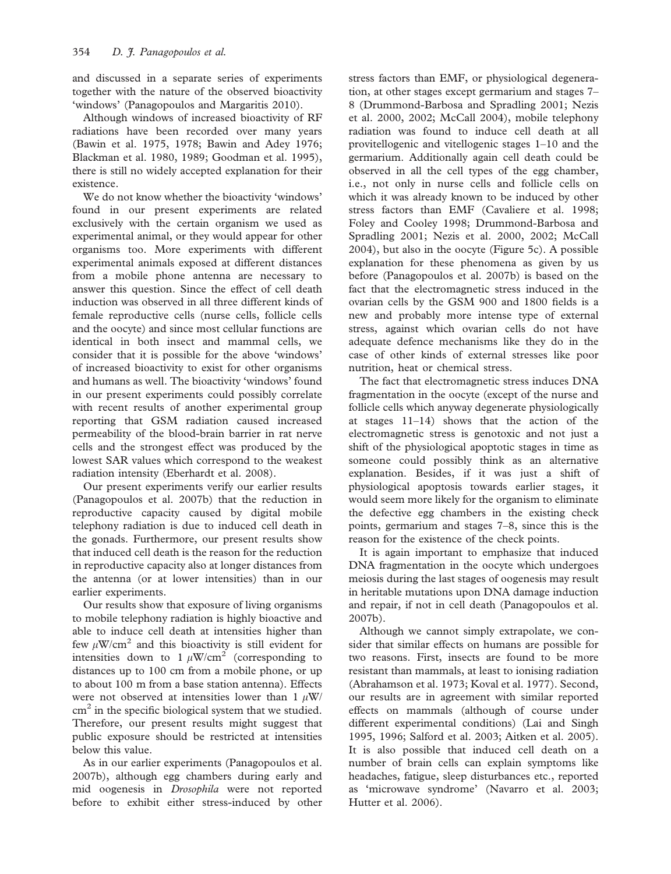and discussed in a separate series of experiments together with the nature of the observed bioactivity 'windows' (Panagopoulos and Margaritis 2010).

Although windows of increased bioactivity of RF radiations have been recorded over many years (Bawin et al. 1975, 1978; Bawin and Adey 1976; Blackman et al. 1980, 1989; Goodman et al. 1995), there is still no widely accepted explanation for their existence.

We do not know whether the bioactivity 'windows' found in our present experiments are related exclusively with the certain organism we used as experimental animal, or they would appear for other organisms too. More experiments with different experimental animals exposed at different distances from a mobile phone antenna are necessary to answer this question. Since the effect of cell death induction was observed in all three different kinds of female reproductive cells (nurse cells, follicle cells and the oocyte) and since most cellular functions are identical in both insect and mammal cells, we consider that it is possible for the above 'windows' of increased bioactivity to exist for other organisms and humans as well. The bioactivity 'windows' found in our present experiments could possibly correlate with recent results of another experimental group reporting that GSM radiation caused increased permeability of the blood-brain barrier in rat nerve cells and the strongest effect was produced by the lowest SAR values which correspond to the weakest radiation intensity (Eberhardt et al. 2008).

Our present experiments verify our earlier results (Panagopoulos et al. 2007b) that the reduction in reproductive capacity caused by digital mobile telephony radiation is due to induced cell death in the gonads. Furthermore, our present results show that induced cell death is the reason for the reduction in reproductive capacity also at longer distances from the antenna (or at lower intensities) than in our earlier experiments.

Our results show that exposure of living organisms to mobile telephony radiation is highly bioactive and able to induce cell death at intensities higher than few  $\mu$ W/cm<sup>2</sup> and this bioactivity is still evident for intensities down to 1  $\mu$ W/cm<sup>2</sup> (corresponding to distances up to 100 cm from a mobile phone, or up to about 100 m from a base station antenna). Effects were not observed at intensities lower than 1  $\mu$ W/  $\text{cm}^2$  in the specific biological system that we studied. Therefore, our present results might suggest that public exposure should be restricted at intensities below this value.

As in our earlier experiments (Panagopoulos et al. 2007b), although egg chambers during early and mid oogenesis in Drosophila were not reported before to exhibit either stress-induced by other stress factors than EMF, or physiological degeneration, at other stages except germarium and stages 7– 8 (Drummond-Barbosa and Spradling 2001; Nezis et al. 2000, 2002; McCall 2004), mobile telephony radiation was found to induce cell death at all provitellogenic and vitellogenic stages 1–10 and the germarium. Additionally again cell death could be observed in all the cell types of the egg chamber, i.e., not only in nurse cells and follicle cells on which it was already known to be induced by other stress factors than EMF (Cavaliere et al. 1998; Foley and Cooley 1998; Drummond-Barbosa and Spradling 2001; Nezis et al. 2000, 2002; McCall 2004), but also in the oocyte (Figure 5c). A possible explanation for these phenomena as given by us before (Panagopoulos et al. 2007b) is based on the fact that the electromagnetic stress induced in the ovarian cells by the GSM 900 and 1800 fields is a new and probably more intense type of external stress, against which ovarian cells do not have adequate defence mechanisms like they do in the case of other kinds of external stresses like poor nutrition, heat or chemical stress.

The fact that electromagnetic stress induces DNA fragmentation in the oocyte (except of the nurse and follicle cells which anyway degenerate physiologically at stages 11–14) shows that the action of the electromagnetic stress is genotoxic and not just a shift of the physiological apoptotic stages in time as someone could possibly think as an alternative explanation. Besides, if it was just a shift of physiological apoptosis towards earlier stages, it would seem more likely for the organism to eliminate the defective egg chambers in the existing check points, germarium and stages 7–8, since this is the reason for the existence of the check points.

It is again important to emphasize that induced DNA fragmentation in the oocyte which undergoes meiosis during the last stages of oogenesis may result in heritable mutations upon DNA damage induction and repair, if not in cell death (Panagopoulos et al. 2007b).

Although we cannot simply extrapolate, we consider that similar effects on humans are possible for two reasons. First, insects are found to be more resistant than mammals, at least to ionising radiation (Abrahamson et al. 1973; Koval et al. 1977). Second, our results are in agreement with similar reported effects on mammals (although of course under different experimental conditions) (Lai and Singh 1995, 1996; Salford et al. 2003; Aitken et al. 2005). It is also possible that induced cell death on a number of brain cells can explain symptoms like headaches, fatigue, sleep disturbances etc., reported as 'microwave syndrome' (Navarro et al. 2003; Hutter et al. 2006).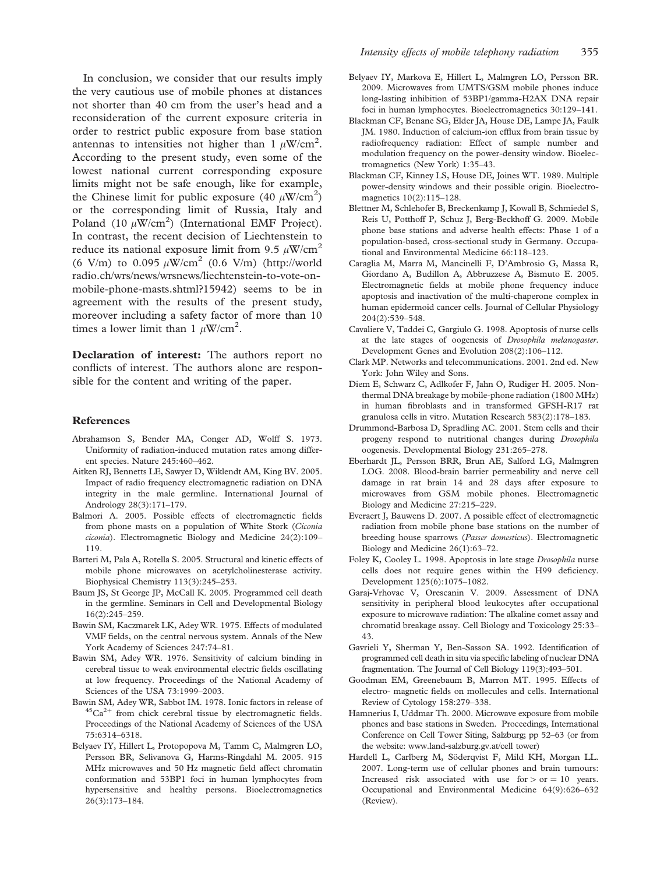In conclusion, we consider that our results imply the very cautious use of mobile phones at distances not shorter than 40 cm from the user's head and a reconsideration of the current exposure criteria in order to restrict public exposure from base station antennas to intensities not higher than 1  $\mu$ W/cm<sup>2</sup>. According to the present study, even some of the lowest national current corresponding exposure limits might not be safe enough, like for example, the Chinese limit for public exposure (40  $\mu$ W/cm<sup>2</sup>) or the corresponding limit of Russia, Italy and Poland (10  $\mu$ W/cm<sup>2</sup>) (International EMF Project). In contrast, the recent decision of Liechtenstein to reduce its national exposure limit from 9.5  $\mu$ W/cm<sup>2</sup> (6 V/m) to 0.095  $\mu$ W/cm<sup>2</sup> (0.6 V/m) [\(http://world](http://worldradio.ch/wrs/news/wrsnews/liechtenstein-to-vote-on-mobile-phone-masts .shtml?15942) [radio.ch/wrs/news/wrsnews/liechtenstein-to-vote-on](http://worldradio.ch/wrs/news/wrsnews/liechtenstein-to-vote-on-mobile-phone-masts .shtml?15942)[mobile-phone-masts.shtml?15942\)](http://worldradio.ch/wrs/news/wrsnews/liechtenstein-to-vote-on-mobile-phone-masts .shtml?15942) seems to be in agreement with the results of the present study, moreover including a safety factor of more than 10 times a lower limit than 1  $\mu$ W/cm<sup>2</sup>.

Declaration of interest: The authors report no conflicts of interest. The authors alone are responsible for the content and writing of the paper.

#### References

- Abrahamson S, Bender MA, Conger AD, Wolff S. 1973. Uniformity of radiation-induced mutation rates among different species. Nature 245:460–462.
- Aitken RJ, Bennetts LE, Sawyer D, Wiklendt AM, King BV. 2005. Impact of radio frequency electromagnetic radiation on DNA integrity in the male germline. International Journal of Andrology 28(3):171–179.
- Balmori A. 2005. Possible effects of electromagnetic fields from phone masts on a population of White Stork (Ciconia ciconia). Electromagnetic Biology and Medicine 24(2):109– 119.
- Barteri M, Pala A, Rotella S. 2005. Structural and kinetic effects of mobile phone microwaves on acetylcholinesterase activity. Biophysical Chemistry 113(3):245–253.
- Baum JS, St George JP, McCall K. 2005. Programmed cell death in the germline. Seminars in Cell and Developmental Biology 16(2):245–259.
- Bawin SM, Kaczmarek LK, Adey WR. 1975. Effects of modulated VMF fields, on the central nervous system. Annals of the New York Academy of Sciences 247:74–81.
- Bawin SM, Adey WR. 1976. Sensitivity of calcium binding in cerebral tissue to weak environmental electric fields oscillating at low frequency. Proceedings of the National Academy of Sciences of the USA 73:1999–2003.
- Bawin SM, Adey WR, Sabbot IM. 1978. Ionic factors in release of  ${}^{45}Ca^{2+}$  from chick cerebral tissue by electromagnetic fields. Proceedings of the National Academy of Sciences of the USA 75:6314–6318.
- Belyaev IY, Hillert L, Protopopova M, Tamm C, Malmgren LO, Persson BR, Selivanova G, Harms-Ringdahl M. 2005. 915 MHz microwaves and 50 Hz magnetic field affect chromatin conformation and 53BP1 foci in human lymphocytes from hypersensitive and healthy persons. Bioelectromagnetics 26(3):173–184.
- Belyaev IY, Markova E, Hillert L, Malmgren LO, Persson BR. 2009. Microwaves from UMTS/GSM mobile phones induce long-lasting inhibition of 53BP1/gamma-H2AX DNA repair foci in human lymphocytes. Bioelectromagnetics 30:129–141.
- Blackman CF, Benane SG, Elder JA, House DE, Lampe JA, Faulk JM. 1980. Induction of calcium-ion efflux from brain tissue by radiofrequency radiation: Effect of sample number and modulation frequency on the power-density window. Bioelectromagnetics (New York) 1:35–43.
- Blackman CF, Kinney LS, House DE, Joines WT. 1989. Multiple power-density windows and their possible origin. Bioelectromagnetics 10(2):115–128.
- Blettner M, Schlehofer B, Breckenkamp J, Kowall B, Schmiedel S, Reis U, Potthoff P, Schuz J, Berg-Beckhoff G. 2009. Mobile phone base stations and adverse health effects: Phase 1 of a population-based, cross-sectional study in Germany. Occupational and Environmental Medicine 66:118–123.
- Caraglia M, Marra M, Mancinelli F, D'Ambrosio G, Massa R, Giordano A, Budillon A, Abbruzzese A, Bismuto E. 2005. Electromagnetic fields at mobile phone frequency induce apoptosis and inactivation of the multi-chaperone complex in human epidermoid cancer cells. Journal of Cellular Physiology 204(2):539–548.
- Cavaliere V, Taddei C, Gargiulo G. 1998. Apoptosis of nurse cells at the late stages of oogenesis of Drosophila melanogaster. Development Genes and Evolution 208(2):106–112.
- Clark MP. Networks and telecommunications. 2001. 2nd ed. New York: John Wiley and Sons.
- Diem E, Schwarz C, Adlkofer F, Jahn O, Rudiger H. 2005. Nonthermal DNA breakage by mobile-phone radiation (1800 MHz) in human fibroblasts and in transformed GFSH-R17 rat granulosa cells in vitro. Mutation Research 583(2):178–183.
- Drummond-Barbosa D, Spradling AC. 2001. Stem cells and their progeny respond to nutritional changes during Drosophila oogenesis. Developmental Biology 231:265–278.
- Eberhardt JL, Persson BRR, Brun AE, Salford LG, Malmgren LOG. 2008. Blood-brain barrier permeability and nerve cell damage in rat brain 14 and 28 days after exposure to microwaves from GSM mobile phones. Electromagnetic Biology and Medicine 27:215–229.
- Everaert J, Bauwens D. 2007. A possible effect of electromagnetic radiation from mobile phone base stations on the number of breeding house sparrows (Passer domesticus). Electromagnetic Biology and Medicine 26(1):63–72.
- Foley K, Cooley L. 1998. Apoptosis in late stage Drosophila nurse cells does not require genes within the H99 deficiency. Development 125(6):1075–1082.
- Garaj-Vrhovac V, Orescanin V. 2009. Assessment of DNA sensitivity in peripheral blood leukocytes after occupational exposure to microwave radiation: The alkaline comet assay and chromatid breakage assay. Cell Biology and Toxicology 25:33– 43.
- Gavrieli Y, Sherman Y, Ben-Sasson SA. 1992. Identification of programmed cell death in situ via specific labeling of nuclear DNA fragmentation. The Journal of Cell Biology 119(3):493–501.
- Goodman EM, Greenebaum B, Marron MT. 1995. Effects of electro- magnetic fields on mollecules and cells. International Review of Cytology 158:279–338.
- Hamnerius I, Uddmar Th. 2000. Microwave exposure from mobile phones and base stations in Sweden. Proceedings, International Conference on Cell Tower Siting, Salzburg; pp 52–63 (or from the website: [www.land-salzburg.gv.at/cell tower](www.land-salzburg.gv.at/celltower))
- Hardell L, Carlberg M, Söderqvist F, Mild KH, Morgan LL. 2007. Long-term use of cellular phones and brain tumours: Increased risk associated with use  $for > or = 10$  years. Occupational and Environmental Medicine 64(9):626–632 (Review).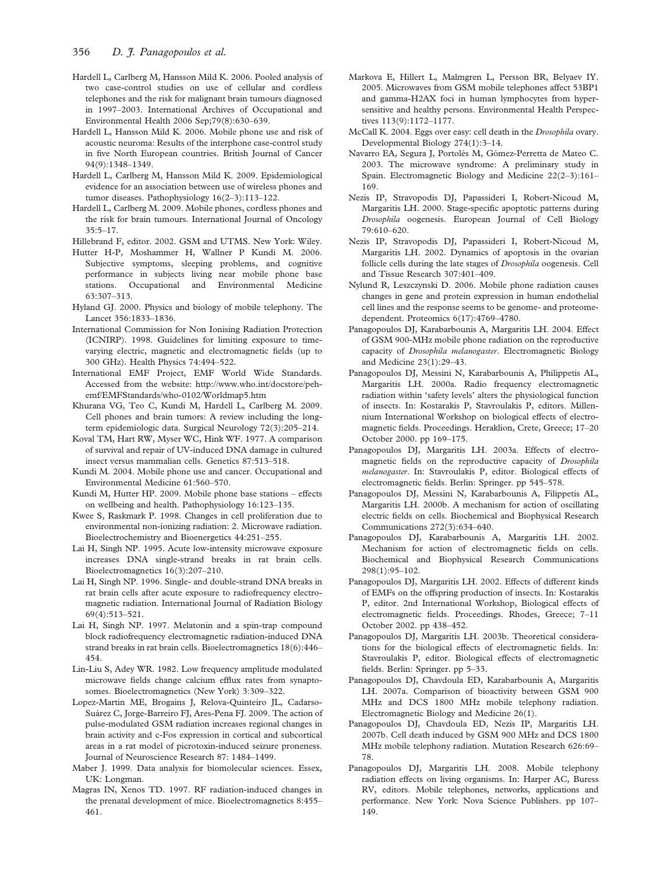- Hardell L, Carlberg M, Hansson Mild K. 2006. Pooled analysis of two case-control studies on use of cellular and cordless telephones and the risk for malignant brain tumours diagnosed in 1997–2003. International Archives of Occupational and Environmental Health 2006 Sep;79(8):630–639.
- Hardell L, Hansson Mild K. 2006. Mobile phone use and risk of acoustic neuroma: Results of the interphone case-control study in five North European countries. British Journal of Cancer 94(9):1348–1349.
- Hardell L, Carlberg M, Hansson Mild K. 2009. Epidemiological evidence for an association between use of wireless phones and tumor diseases. Pathophysiology 16(2–3):113–122.
- Hardell L, Carlberg M. 2009. Mobile phones, cordless phones and the risk for brain tumours. International Journal of Oncology 35:5–17.

Hillebrand F, editor. 2002. GSM and UTMS. New York: Wiley.

- Hutter H-P, Moshammer H, Wallner P Kundi M. 2006. Subjective symptoms, sleeping problems, and cognitive performance in subjects living near mobile phone base stations. Occupational and Environmental Medicine 63:307–313.
- Hyland GJ. 2000. Physics and biology of mobile telephony. The Lancet 356:1833–1836.
- International Commission for Non Ionising Radiation Protection (ICNIRP). 1998. Guidelines for limiting exposure to timevarying electric, magnetic and electromagnetic fields (up to 300 GHz). Health Physics 74:494–522.
- International EMF Project, EMF World Wide Standards. Accessed from the website: [http://www.who.int/docstore/peh](http://www.who.int/docstore/peh-emf/EMFStandards/who-0102/Worldmap5.htm)[emf/EMFStandards/who-0102/Worldmap5.htm](http://www.who.int/docstore/peh-emf/EMFStandards/who-0102/Worldmap5.htm)
- Khurana VG, Teo C, Kundi M, Hardell L, Carlberg M. 2009. Cell phones and brain tumors: A review including the longterm epidemiologic data. Surgical Neurology 72(3):205–214.
- Koval TM, Hart RW, Myser WC, Hink WF. 1977. A comparison of survival and repair of UV-induced DNA damage in cultured insect versus mammalian cells. Genetics 87:513–518.
- Kundi M. 2004. Mobile phone use and cancer. Occupational and Environmental Medicine 61:560–570.
- Kundi M, Hutter HP. 2009. Mobile phone base stations effects on wellbeing and health. Pathophysiology 16:123–135.
- Kwee S, Raskmark P. 1998. Changes in cell proliferation due to environmental non-ionizing radiation: 2. Microwave radiation. Bioelectrochemistry and Bioenergetics 44:251–255.
- Lai H, Singh NP. 1995. Acute low-intensity microwave exposure increases DNA single-strand breaks in rat brain cells. Bioelectromagnetics 16(3):207–210.
- Lai H, Singh NP. 1996. Single- and double-strand DNA breaks in rat brain cells after acute exposure to radiofrequency electromagnetic radiation. International Journal of Radiation Biology 69(4):513–521.
- Lai H, Singh NP. 1997. Melatonin and a spin-trap compound block radiofrequency electromagnetic radiation-induced DNA strand breaks in rat brain cells. Bioelectromagnetics 18(6):446– 454.
- Lin-Liu S, Adey WR. 1982. Low frequency amplitude modulated microwave fields change calcium efflux rates from synaptosomes. Bioelectromagnetics (New York) 3:309–322.
- Lopez-Martin ME, Brogains J, Relova-Quinteiro JL, Cadarso-Suárez C, Jorge-Barreiro FJ, Ares-Pena FJ. 2009. The action of pulse-modulated GSM radiation increases regional changes in brain activity and c-Fos expression in cortical and subcortical areas in a rat model of picrotoxin-induced seizure proneness. Journal of Neuroscience Research 87: 1484–1499.
- Maber J. 1999. Data analysis for biomolecular sciences. Essex, UK: Longman.
- Magras IN, Xenos TD. 1997. RF radiation-induced changes in the prenatal development of mice. Bioelectromagnetics 8:455– 461.
- Markova E, Hillert L, Malmgren L, Persson BR, Belyaev IY. 2005. Microwaves from GSM mobile telephones affect 53BP1 and gamma-H2AX foci in human lymphocytes from hypersensitive and healthy persons. Environmental Health Perspectives 113(9):1172–1177.
- McCall K. 2004. Eggs over easy: cell death in the Drosophila ovary. Developmental Biology 274(1):3–14.
- Navarro EA, Segura J, Portolés M, Gómez-Perretta de Mateo C. 2003. The microwave syndrome: A preliminary study in Spain. Electromagnetic Biology and Medicine 22(2–3):161– 169.
- Nezis IP, Stravopodis DJ, Papassideri I, Robert-Nicoud M, Margaritis LH. 2000. Stage-specific apoptotic patterns during Drosophila oogenesis. European Journal of Cell Biology 79:610–620.
- Nezis IP, Stravopodis DJ, Papassideri I, Robert-Nicoud M, Margaritis LH. 2002. Dynamics of apoptosis in the ovarian follicle cells during the late stages of Drosophila oogenesis. Cell and Tissue Research 307:401–409.
- Nylund R, Leszczynski D. 2006. Mobile phone radiation causes changes in gene and protein expression in human endothelial cell lines and the response seems to be genome- and proteomedependent. Proteomics 6(17):4769–4780.
- Panagopoulos DJ, Karabarbounis A, Margaritis LH. 2004. Effect of GSM 900-MHz mobile phone radiation on the reproductive capacity of Drosophila melanogaster. Electromagnetic Biology and Medicine 23(1):29–43.
- Panagopoulos DJ, Messini N, Karabarbounis A, Philippetis AL, Margaritis LH. 2000a. Radio frequency electromagnetic radiation within 'safety levels' alters the physiological function of insects. In: Kostarakis P, Stavroulakis P, editors. Millennium International Workshop on biological effects of electromagnetic fields. Proceedings. Heraklion, Crete, Greece; 17–20 October 2000. pp 169–175.
- Panagopoulos DJ, Margaritis LH. 2003a. Effects of electromagnetic fields on the reproductive capacity of Drosophila melanogaster. In: Stavroulakis P, editor. Biological effects of electromagnetic fields. Berlin: Springer. pp 545–578.
- Panagopoulos DJ, Messini N, Karabarbounis A, Filippetis AL, Margaritis LH. 2000b. A mechanism for action of oscillating electric fields on cells. Biochemical and Biophysical Research Communications 272(3):634–640.
- Panagopoulos DJ, Karabarbounis A, Margaritis LH. 2002. Mechanism for action of electromagnetic fields on cells. Biochemical and Biophysical Research Communications 298(1):95–102.
- Panagopoulos DJ, Margaritis LH. 2002. Effects of different kinds of EMFs on the offspring production of insects. In: Kostarakis P, editor. 2nd International Workshop, Biological effects of electromagnetic fields. Proceedings. Rhodes, Greece; 7–11 October 2002. pp 438–452.
- Panagopoulos DJ, Margaritis LH. 2003b. Theoretical considerations for the biological effects of electromagnetic fields. In: Stavroulakis P, editor. Biological effects of electromagnetic fields. Berlin: Springer. pp 5–33.
- Panagopoulos DJ, Chavdoula ED, Karabarbounis A, Margaritis LH. 2007a. Comparison of bioactivity between GSM 900 MHz and DCS 1800 MHz mobile telephony radiation. Electromagnetic Biology and Medicine 26(1).
- Panagopoulos DJ, Chavdoula ED, Nezis IP, Margaritis LH. 2007b. Cell death induced by GSM 900 MHz and DCS 1800 MHz mobile telephony radiation. Mutation Research 626:69– 78.
- Panagopoulos DJ, Margaritis LH. 2008. Mobile telephony radiation effects on living organisms. In: Harper AC, Buress RV, editors. Mobile telephones, networks, applications and performance. New York: Nova Science Publishers. pp 107– 149.